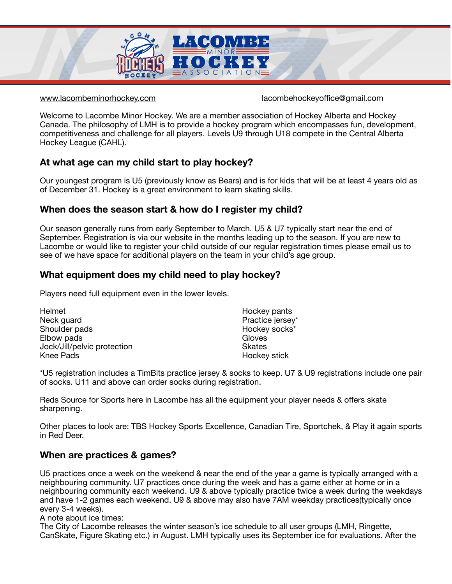

[www.lacombeminorhockey.com](https://lacombeminorhockey.com) lacombehockeyoffice@gmail.com

Welcome to Lacombe Minor Hockey. We are a member association of Hockey Alberta and Hockey Canada. The philosophy of LMH is to provide a hockey program which encompasses fun, development, competitiveness and challenge for all players. Levels U9 through U18 compete in the Central Alberta Hockey League (CAHL).

# **At what age can my child start to play hockey?**

Our youngest program is U5 (previously know as Bears) and is for kids that will be at least 4 years old as of December 31. Hockey is a great environment to learn skating skills.

# **When does the season start & how do I register my child?**

Our season generally runs from early September to March. U5 & U7 typically start near the end of September. Registration is via our website in the months leading up to the season. If you are new to Lacombe or would like to register your child outside of our regular registration times please email us to see of we have space for additional players on the team in your child's age group.

# **What equipment does my child need to play hockey?**

Players need full equipment even in the lower levels.

| Hockey pants     |
|------------------|
| Practice jersey* |
| Hockey socks*    |
| Gloves           |
| <b>Skates</b>    |
| Hockey stick     |
|                  |

\*U5 registration includes a TimBits practice jersey & socks to keep. U7 & U9 registrations include one pair of socks. U11 and above can order socks during registration.

Reds Source for Sports here in Lacombe has all the equipment your player needs & offers skate sharpening.

Other places to look are: TBS Hockey Sports Excellence, Canadian Tire, Sportchek, & Play it again sports in Red Deer.

# **When are practices & games?**

U5 practices once a week on the weekend & near the end of the year a game is typically arranged with a neighbouring community. U7 practices once during the week and has a game either at home or in a neighbouring community each weekend. U9 & above typically practice twice a week during the weekdays and have 1-2 games each weekend. U9 & above may also have 7AM weekday practices(typically once every 3-4 weeks).

A note about ice times:

The City of Lacombe releases the winter season's ice schedule to all user groups (LMH, Ringette, CanSkate, Figure Skating etc.) in August. LMH typically uses its September ice for evaluations. After the